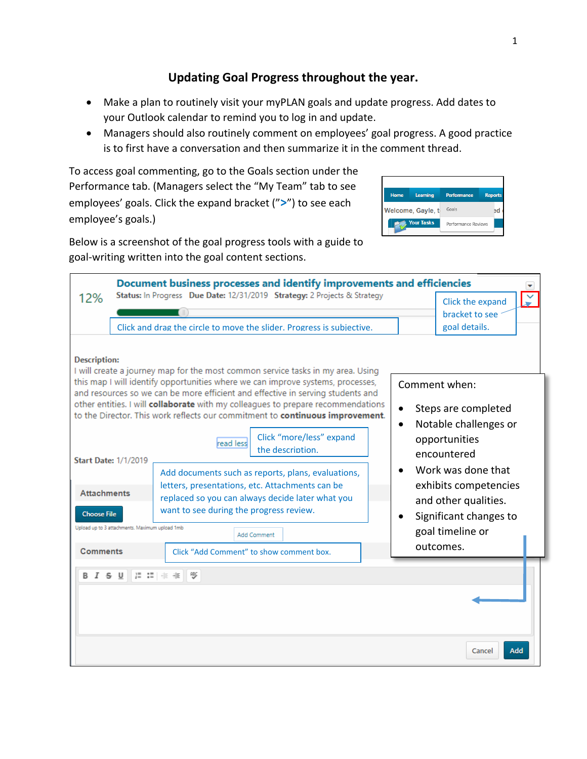# **Updating Goal Progress throughout the year.**

- Make a plan to routinely visit your myPLAN goals and update progress. Add dates to your Outlook calendar to remind you to log in and update.
- Managers should also routinely comment on employees' goal progress. A good practice is to first have a conversation and then summarize it in the comment thread.

To access goal commenting, go to the Goals section under the Performance tab. (Managers select the "My Team" tab to see employees' goals. Click the expand bracket ("**>**") to see each employee's goals.)

| Home              | Learning | <b>Performance</b>  | <b>Reports</b> |
|-------------------|----------|---------------------|----------------|
| Welcome, Gayle, t |          | Goals               |                |
| <b>Your Tasks</b> |          | Performance Reviews |                |
|                   |          |                     |                |

Below is a screenshot of the goal progress tools with a guide to goal-writing written into the goal content sections.

| Document business processes and identify improvements and efficiencies                                                                                                                                                                                                                                                                                                                                                                                                                                                          |                                                                                                                                                                                                   |                                                                                                                                                                |  |  |
|---------------------------------------------------------------------------------------------------------------------------------------------------------------------------------------------------------------------------------------------------------------------------------------------------------------------------------------------------------------------------------------------------------------------------------------------------------------------------------------------------------------------------------|---------------------------------------------------------------------------------------------------------------------------------------------------------------------------------------------------|----------------------------------------------------------------------------------------------------------------------------------------------------------------|--|--|
| 12%                                                                                                                                                                                                                                                                                                                                                                                                                                                                                                                             | Status: In Progress Due Date: 12/31/2019 Strategy: 2 Projects & Strategy                                                                                                                          | Click the expand                                                                                                                                               |  |  |
|                                                                                                                                                                                                                                                                                                                                                                                                                                                                                                                                 | Click and drag the circle to move the slider. Progress is subjective.                                                                                                                             | bracket to see<br>goal details.                                                                                                                                |  |  |
| <b>Description:</b><br>I will create a journey map for the most common service tasks in my area. Using<br>this map I will identify opportunities where we can improve systems, processes,<br>Comment when:<br>and resources so we can be more efficient and effective in serving students and<br>other entities. I will collaborate with my colleagues to prepare recommendations<br>Steps are completed<br>to the Director. This work reflects our commitment to continuous improvement.<br>Notable challenges or<br>$\bullet$ |                                                                                                                                                                                                   |                                                                                                                                                                |  |  |
|                                                                                                                                                                                                                                                                                                                                                                                                                                                                                                                                 | Click "more/less" expand<br>read less<br>the description.<br><b>Start Date: 1/1/2019</b><br>Add documents such as reports, plans, evaluations,<br>letters, presentations, etc. Attachments can be | opportunities<br>encountered<br>Work was done that<br>exhibits competencies<br>and other qualities.<br>Significant changes to<br>goal timeline or<br>outcomes. |  |  |
| <b>Attachments</b><br><b>Choose File</b>                                                                                                                                                                                                                                                                                                                                                                                                                                                                                        | replaced so you can always decide later what you<br>want to see during the progress review.                                                                                                       |                                                                                                                                                                |  |  |
| <b>Comments</b>                                                                                                                                                                                                                                                                                                                                                                                                                                                                                                                 | Upload up to 3 attachments. Maximum upload 1mb<br><b>Add Comment</b><br>Click "Add Comment" to show comment box.                                                                                  |                                                                                                                                                                |  |  |
| I S U<br>В                                                                                                                                                                                                                                                                                                                                                                                                                                                                                                                      | 這 請 非 拒<br>٩BC                                                                                                                                                                                    | Add<br>Cancel                                                                                                                                                  |  |  |